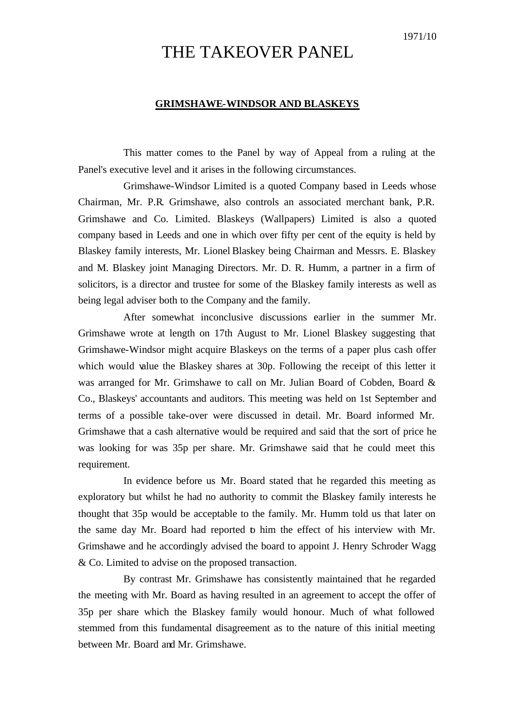# THE TAKEOVER PANEL

### **GRIMSHAWE-WINDSOR AND BLASKEYS**

This matter comes to the Panel by way of Appeal from a ruling at the Panel's executive level and it arises in the following circumstances.

Grimshawe-Windsor Limited is a quoted Company based in Leeds whose Chairman, Mr. P.R. Grimshawe, also controls an associated merchant bank, P.R. Grimshawe and Co. Limited. Blaskeys (Wallpapers) Limited is also a quoted company based in Leeds and one in which over fifty per cent of the equity is held by Blaskey family interests, Mr. Lionel Blaskey being Chairman and Messrs. E. Blaskey and M. Blaskey joint Managing Directors. Mr. D. R. Humm, a partner in a firm of solicitors, is a director and trustee for some of the Blaskey family interests as well as being legal adviser both to the Company and the family.

After somewhat inconclusive discussions earlier in the summer Mr. Grimshawe wrote at length on 17th August to Mr. Lionel Blaskey suggesting that Grimshawe-Windsor might acquire Blaskeys on the terms of a paper plus cash offer which would value the Blaskey shares at 30p. Following the receipt of this letter it was arranged for Mr. Grimshawe to call on Mr. Julian Board of Cobden, Board & Co., Blaskeys' accountants and auditors. This meeting was held on 1st September and terms of a possible take-over were discussed in detail. Mr. Board informed Mr. Grimshawe that a cash alternative would be required and said that the sort of price he was looking for was 35p per share. Mr. Grimshawe said that he could meet this requirement.

In evidence before us Mr. Board stated that he regarded this meeting as exploratory but whilst he had no authority to commit the Blaskey family interests he thought that 35p would be acceptable to the family. Mr. Humm told us that later on the same day Mr. Board had reported to him the effect of his interview with Mr. Grimshawe and he accordingly advised the board to appoint J. Henry Schroder Wagg & Co. Limited to advise on the proposed transaction.

By contrast Mr. Grimshawe has consistently maintained that he regarded the meeting with Mr. Board as having resulted in an agreement to accept the offer of 35p per share which the Blaskey family would honour. Much of what followed stemmed from this fundamental disagreement as to the nature of this initial meeting between Mr. Board and Mr. Grimshawe.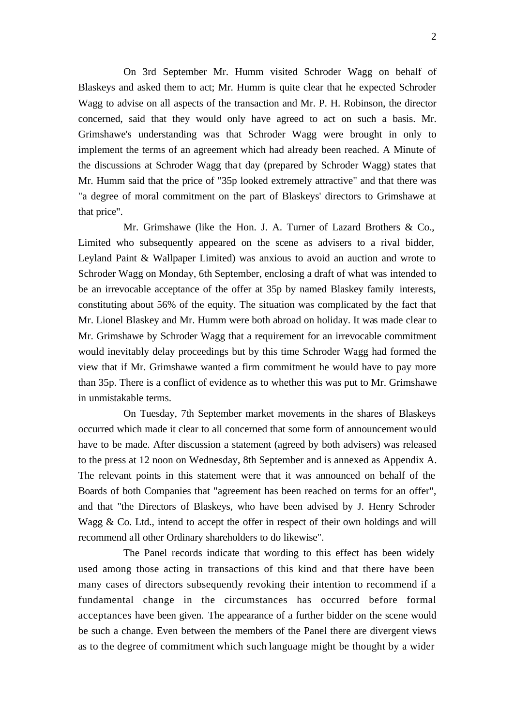On 3rd September Mr. Humm visited Schroder Wagg on behalf of Blaskeys and asked them to act; Mr. Humm is quite clear that he expected Schroder Wagg to advise on all aspects of the transaction and Mr. P. H. Robinson, the director concerned, said that they would only have agreed to act on such a basis. Mr. Grimshawe's understanding was that Schroder Wagg were brought in only to implement the terms of an agreement which had already been reached. A Minute of the discussions at Schroder Wagg that day (prepared by Schroder Wagg) states that Mr. Humm said that the price of "35p looked extremely attractive" and that there was "a degree of moral commitment on the part of Blaskeys' directors to Grimshawe at that price".

Mr. Grimshawe (like the Hon. J. A. Turner of Lazard Brothers & Co., Limited who subsequently appeared on the scene as advisers to a rival bidder, Leyland Paint & Wallpaper Limited) was anxious to avoid an auction and wrote to Schroder Wagg on Monday, 6th September, enclosing a draft of what was intended to be an irrevocable acceptance of the offer at 35p by named Blaskey family interests, constituting about 56% of the equity. The situation was complicated by the fact that Mr. Lionel Blaskey and Mr. Humm were both abroad on holiday. It was made clear to Mr. Grimshawe by Schroder Wagg that a requirement for an irrevocable commitment would inevitably delay proceedings but by this time Schroder Wagg had formed the view that if Mr. Grimshawe wanted a firm commitment he would have to pay more than 35p. There is a conflict of evidence as to whether this was put to Mr. Grimshawe in unmistakable terms.

On Tuesday, 7th September market movements in the shares of Blaskeys occurred which made it clear to all concerned that some form of announcement would have to be made. After discussion a statement (agreed by both advisers) was released to the press at 12 noon on Wednesday, 8th September and is annexed as Appendix A. The relevant points in this statement were that it was announced on behalf of the Boards of both Companies that "agreement has been reached on terms for an offer", and that "the Directors of Blaskeys, who have been advised by J. Henry Schroder Wagg & Co. Ltd., intend to accept the offer in respect of their own holdings and will recommend all other Ordinary shareholders to do likewise".

The Panel records indicate that wording to this effect has been widely used among those acting in transactions of this kind and that there have been many cases of directors subsequently revoking their intention to recommend if a fundamental change in the circumstances has occurred before formal acceptances have been given. The appearance of a further bidder on the scene would be such a change. Even between the members of the Panel there are divergent views as to the degree of commitment which such language might be thought by a wider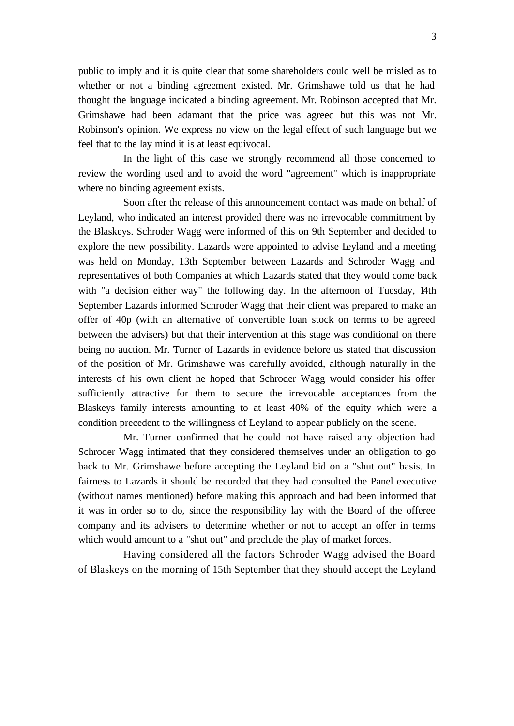public to imply and it is quite clear that some shareholders could well be misled as to whether or not a binding agreement existed. Mr. Grimshawe told us that he had thought the language indicated a binding agreement. Mr. Robinson accepted that Mr. Grimshawe had been adamant that the price was agreed but this was not Mr. Robinson's opinion. We express no view on the legal effect of such language but we feel that to the lay mind it is at least equivocal.

In the light of this case we strongly recommend all those concerned to review the wording used and to avoid the word "agreement" which is inappropriate where no binding agreement exists.

Soon after the release of this announcement contact was made on behalf of Leyland, who indicated an interest provided there was no irrevocable commitment by the Blaskeys. Schroder Wagg were informed of this on 9th September and decided to explore the new possibility. Lazards were appointed to advise Leyland and a meeting was held on Monday, 13th September between Lazards and Schroder Wagg and representatives of both Companies at which Lazards stated that they would come back with "a decision either way" the following day. In the afternoon of Tuesday, 14th September Lazards informed Schroder Wagg that their client was prepared to make an offer of 40p (with an alternative of convertible loan stock on terms to be agreed between the advisers) but that their intervention at this stage was conditional on there being no auction. Mr. Turner of Lazards in evidence before us stated that discussion of the position of Mr. Grimshawe was carefully avoided, although naturally in the interests of his own client he hoped that Schroder Wagg would consider his offer sufficiently attractive for them to secure the irrevocable acceptances from the Blaskeys family interests amounting to at least 40% of the equity which were a condition precedent to the willingness of Leyland to appear publicly on the scene.

Mr. Turner confirmed that he could not have raised any objection had Schroder Wagg intimated that they considered themselves under an obligation to go back to Mr. Grimshawe before accepting the Leyland bid on a "shut out" basis. In fairness to Lazards it should be recorded that they had consulted the Panel executive (without names mentioned) before making this approach and had been informed that it was in order so to do, since the responsibility lay with the Board of the offeree company and its advisers to determine whether or not to accept an offer in terms which would amount to a "shut out" and preclude the play of market forces.

Having considered all the factors Schroder Wagg advised the Board of Blaskeys on the morning of 15th September that they should accept the Leyland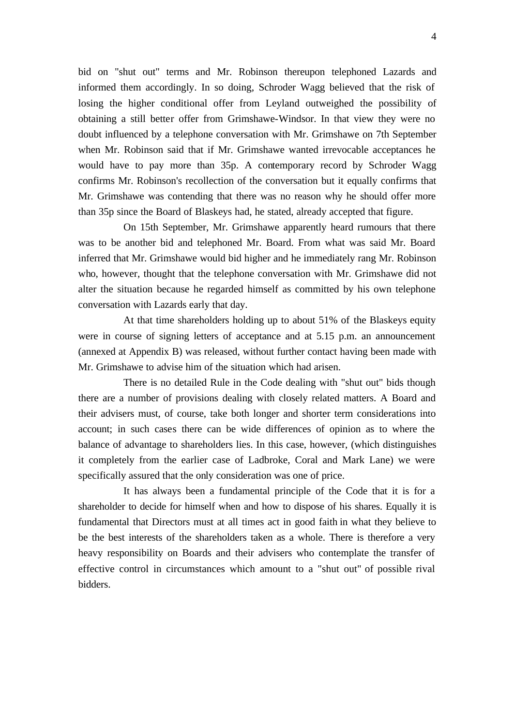bid on "shut out" terms and Mr. Robinson thereupon telephoned Lazards and informed them accordingly. In so doing, Schroder Wagg believed that the risk of losing the higher conditional offer from Leyland outweighed the possibility of obtaining a still better offer from Grimshawe-Windsor. In that view they were no doubt influenced by a telephone conversation with Mr. Grimshawe on 7th September when Mr. Robinson said that if Mr. Grimshawe wanted irrevocable acceptances he would have to pay more than 35p. A contemporary record by Schroder Wagg confirms Mr. Robinson's recollection of the conversation but it equally confirms that Mr. Grimshawe was contending that there was no reason why he should offer more than 35p since the Board of Blaskeys had, he stated, already accepted that figure.

On 15th September, Mr. Grimshawe apparently heard rumours that there was to be another bid and telephoned Mr. Board. From what was said Mr. Board inferred that Mr. Grimshawe would bid higher and he immediately rang Mr. Robinson who, however, thought that the telephone conversation with Mr. Grimshawe did not alter the situation because he regarded himself as committed by his own telephone conversation with Lazards early that day.

At that time shareholders holding up to about 51% of the Blaskeys equity were in course of signing letters of acceptance and at 5.15 p.m. an announcement (annexed at Appendix B) was released, without further contact having been made with Mr. Grimshawe to advise him of the situation which had arisen.

There is no detailed Rule in the Code dealing with "shut out" bids though there are a number of provisions dealing with closely related matters. A Board and their advisers must, of course, take both longer and shorter term considerations into account; in such cases there can be wide differences of opinion as to where the balance of advantage to shareholders lies. In this case, however, (which distinguishes it completely from the earlier case of Ladbroke, Coral and Mark Lane) we were specifically assured that the only consideration was one of price.

It has always been a fundamental principle of the Code that it is for a shareholder to decide for himself when and how to dispose of his shares. Equally it is fundamental that Directors must at all times act in good faith in what they believe to be the best interests of the shareholders taken as a whole. There is therefore a very heavy responsibility on Boards and their advisers who contemplate the transfer of effective control in circumstances which amount to a "shut out" of possible rival bidders.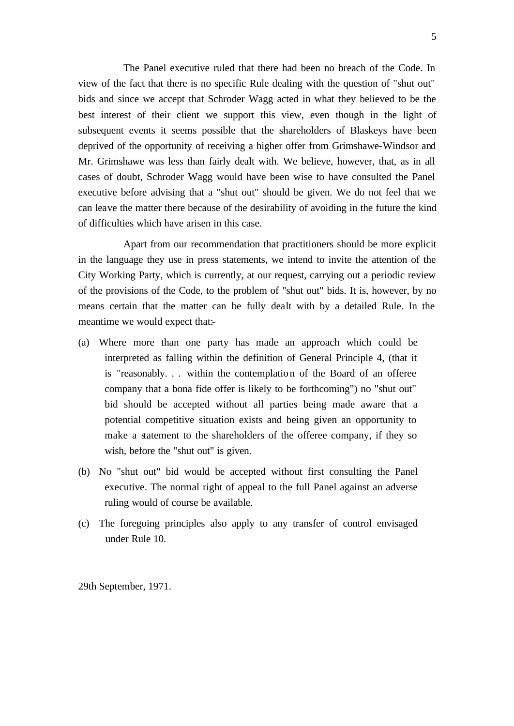The Panel executive ruled that there had been no breach of the Code. In view of the fact that there is no specific Rule dealing with the question of "shut out" bids and since we accept that Schroder Wagg acted in what they believed to be the best interest of their client we support this view, even though in the light of subsequent events it seems possible that the shareholders of Blaskeys have been deprived of the opportunity of receiving a higher offer from Grimshawe-Windsor and Mr. Grimshawe was less than fairly dealt with. We believe, however, that, as in all cases of doubt, Schroder Wagg would have been wise to have consulted the Panel executive before advising that a "shut out" should be given. We do not feel that we can leave the matter there because of the desirability of avoiding in the future the kind of difficulties which have arisen in this case.

Apart from our recommendation that practitioners should be more explicit in the language they use in press statements, we intend to invite the attention of the City Working Party, which is currently, at our request, carrying out a periodic review of the provisions of the Code, to the problem of "shut out" bids. It is, however, by no means certain that the matter can be fully dealt with by a detailed Rule. In the meantime we would expect that:-

- (a) Where more than one party has made an approach which could be interpreted as falling within the definition of General Principle 4, (that it is "reasonably. . . within the contemplation of the Board of an offeree company that a bona fide offer is likely to be forthcoming") no "shut out" bid should be accepted without all parties being made aware that a potential competitive situation exists and being given an opportunity to make a statement to the shareholders of the offeree company, if they so wish, before the "shut out" is given.
- (b) No "shut out" bid would be accepted without first consulting the Panel executive. The normal right of appeal to the full Panel against an adverse ruling would of course be available.
- (c) The foregoing principles also apply to any transfer of control envisaged under Rule 10.

29th September, 1971.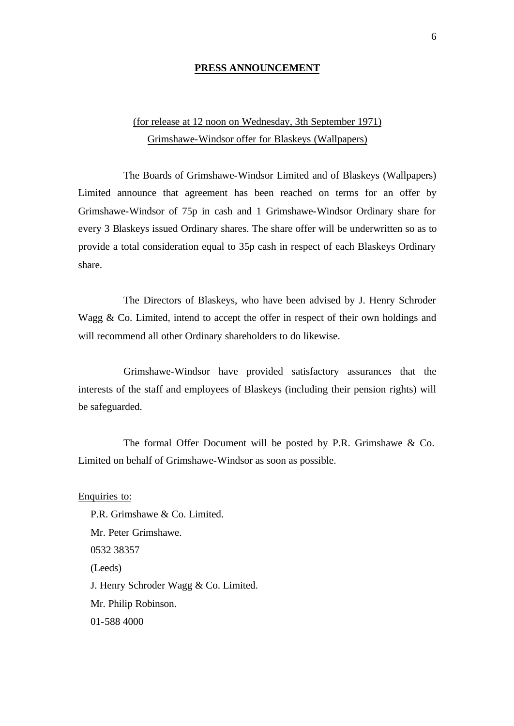#### **PRESS ANNOUNCEMENT**

### (for release at 12 noon on Wednesday, 3th September 1971) Grimshawe-Windsor offer for Blaskeys (Wallpapers)

The Boards of Grimshawe-Windsor Limited and of Blaskeys (Wallpapers) Limited announce that agreement has been reached on terms for an offer by Grimshawe-Windsor of 75p in cash and 1 Grimshawe-Windsor Ordinary share for every 3 Blaskeys issued Ordinary shares. The share offer will be underwritten so as to provide a total consideration equal to 35p cash in respect of each Blaskeys Ordinary share.

The Directors of Blaskeys, who have been advised by J. Henry Schroder Wagg & Co. Limited, intend to accept the offer in respect of their own holdings and will recommend all other Ordinary shareholders to do likewise.

Grimshawe-Windsor have provided satisfactory assurances that the interests of the staff and employees of Blaskeys (including their pension rights) will be safeguarded.

The formal Offer Document will be posted by P.R. Grimshawe & Co. Limited on behalf of Grimshawe-Windsor as soon as possible.

Enquiries to: P.R. Grimshawe & Co. Limited. Mr. Peter Grimshawe. 0532 38357 (Leeds) J. Henry Schroder Wagg & Co. Limited. Mr. Philip Robinson. 01-588 4000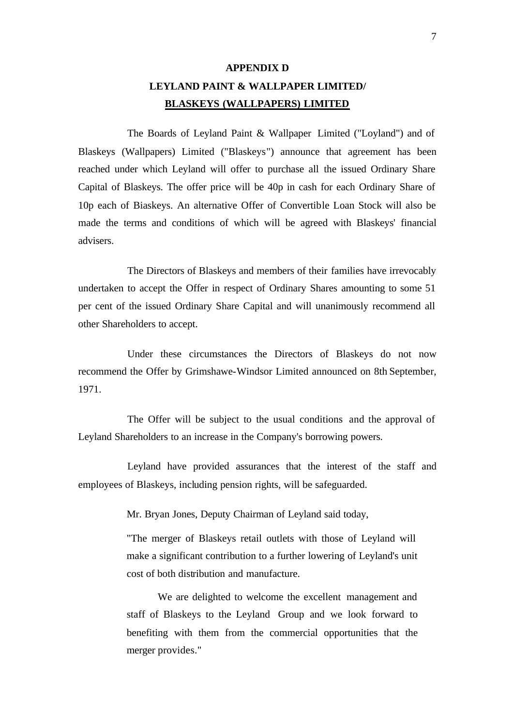## **APPENDIX D LEYLAND PAINT & WALLPAPER LIMITED/ BLASKEYS (WALLPAPERS) LIMITED**

The Boards of Leyland Paint & Wallpaper Limited ("Loyland") and of Blaskeys (Wallpapers) Limited ("Blaskeys") announce that agreement has been reached under which Leyland will offer to purchase all the issued Ordinary Share Capital of Blaskeys. The offer price will be 40p in cash for each Ordinary Share of 10p each of Biaskeys. An alternative Offer of Convertible Loan Stock will also be made the terms and conditions of which will be agreed with Blaskeys' financial advisers.

The Directors of Blaskeys and members of their families have irrevocably undertaken to accept the Offer in respect of Ordinary Shares amounting to some 51 per cent of the issued Ordinary Share Capital and will unanimously recommend all other Shareholders to accept.

Under these circumstances the Directors of Blaskeys do not now recommend the Offer by Grimshawe-Windsor Limited announced on 8th September, 1971.

The Offer will be subject to the usual conditions and the approval of Leyland Shareholders to an increase in the Company's borrowing powers.

Leyland have provided assurances that the interest of the staff and employees of Blaskeys, including pension rights, will be safeguarded.

Mr. Bryan Jones, Deputy Chairman of Leyland said today,

"The merger of Blaskeys retail outlets with those of Leyland will make a significant contribution to a further lowering of Leyland's unit cost of both distribution and manufacture.

We are delighted to welcome the excellent management and staff of Blaskeys to the Leyland Group and we look forward to benefiting with them from the commercial opportunities that the merger provides."